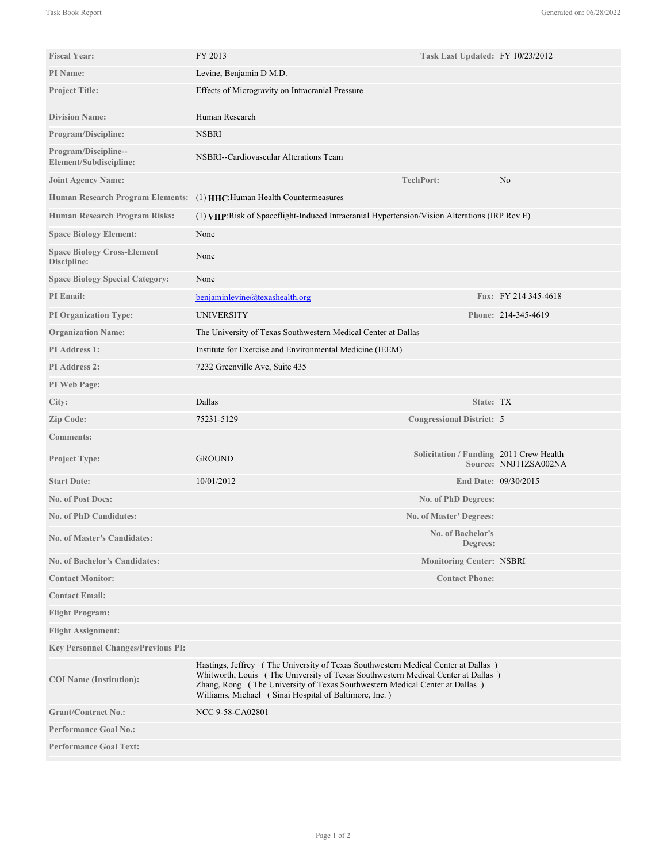| <b>Fiscal Year:</b>                               | FY 2013                                                                                                                                                                                                                                                                                                       | Task Last Updated: FY 10/23/2012        |                       |
|---------------------------------------------------|---------------------------------------------------------------------------------------------------------------------------------------------------------------------------------------------------------------------------------------------------------------------------------------------------------------|-----------------------------------------|-----------------------|
| PI Name:                                          | Levine, Benjamin D M.D.                                                                                                                                                                                                                                                                                       |                                         |                       |
| <b>Project Title:</b>                             | Effects of Microgravity on Intracranial Pressure                                                                                                                                                                                                                                                              |                                         |                       |
| <b>Division Name:</b>                             | Human Research                                                                                                                                                                                                                                                                                                |                                         |                       |
| <b>Program/Discipline:</b>                        | <b>NSBRI</b>                                                                                                                                                                                                                                                                                                  |                                         |                       |
| Program/Discipline--<br>Element/Subdiscipline:    | NSBRI--Cardiovascular Alterations Team                                                                                                                                                                                                                                                                        |                                         |                       |
| <b>Joint Agency Name:</b>                         |                                                                                                                                                                                                                                                                                                               | <b>TechPort:</b>                        | No                    |
|                                                   | Human Research Program Elements: (1) HHC: Human Health Countermeasures                                                                                                                                                                                                                                        |                                         |                       |
| Human Research Program Risks:                     | (1) VIIP: Risk of Spaceflight-Induced Intracranial Hypertension/Vision Alterations (IRP Rev E)                                                                                                                                                                                                                |                                         |                       |
| <b>Space Biology Element:</b>                     | None                                                                                                                                                                                                                                                                                                          |                                         |                       |
| <b>Space Biology Cross-Element</b><br>Discipline: | None                                                                                                                                                                                                                                                                                                          |                                         |                       |
| <b>Space Biology Special Category:</b>            | None                                                                                                                                                                                                                                                                                                          |                                         |                       |
| <b>PI</b> Email:                                  | benjaminlevine@texashealth.org                                                                                                                                                                                                                                                                                |                                         | Fax: FY 214 345-4618  |
| <b>PI Organization Type:</b>                      | <b>UNIVERSITY</b>                                                                                                                                                                                                                                                                                             |                                         | Phone: 214-345-4619   |
| <b>Organization Name:</b>                         | The University of Texas Southwestern Medical Center at Dallas                                                                                                                                                                                                                                                 |                                         |                       |
| PI Address 1:                                     | Institute for Exercise and Environmental Medicine (IEEM)                                                                                                                                                                                                                                                      |                                         |                       |
| <b>PI</b> Address 2:                              | 7232 Greenville Ave, Suite 435                                                                                                                                                                                                                                                                                |                                         |                       |
| PI Web Page:                                      |                                                                                                                                                                                                                                                                                                               |                                         |                       |
| City:                                             | Dallas                                                                                                                                                                                                                                                                                                        | State: TX                               |                       |
| Zip Code:                                         | 75231-5129                                                                                                                                                                                                                                                                                                    | <b>Congressional District: 5</b>        |                       |
| <b>Comments:</b>                                  |                                                                                                                                                                                                                                                                                                               |                                         |                       |
| Project Type:                                     | <b>GROUND</b>                                                                                                                                                                                                                                                                                                 | Solicitation / Funding 2011 Crew Health | Source: NNJ11ZSA002NA |
| <b>Start Date:</b>                                | 10/01/2012                                                                                                                                                                                                                                                                                                    |                                         | End Date: 09/30/2015  |
| <b>No. of Post Docs:</b>                          |                                                                                                                                                                                                                                                                                                               | No. of PhD Degrees:                     |                       |
| <b>No. of PhD Candidates:</b>                     |                                                                                                                                                                                                                                                                                                               | No. of Master' Degrees:                 |                       |
| <b>No. of Master's Candidates:</b>                |                                                                                                                                                                                                                                                                                                               | No. of Bachelor's<br>Degrees:           |                       |
| <b>No. of Bachelor's Candidates:</b>              |                                                                                                                                                                                                                                                                                                               | <b>Monitoring Center: NSBRI</b>         |                       |
| <b>Contact Monitor:</b>                           |                                                                                                                                                                                                                                                                                                               | <b>Contact Phone:</b>                   |                       |
| <b>Contact Email:</b>                             |                                                                                                                                                                                                                                                                                                               |                                         |                       |
| <b>Flight Program:</b>                            |                                                                                                                                                                                                                                                                                                               |                                         |                       |
| <b>Flight Assignment:</b>                         |                                                                                                                                                                                                                                                                                                               |                                         |                       |
| <b>Key Personnel Changes/Previous PI:</b>         |                                                                                                                                                                                                                                                                                                               |                                         |                       |
| <b>COI</b> Name (Institution):                    | Hastings, Jeffrey (The University of Texas Southwestern Medical Center at Dallas)<br>Whitworth, Louis (The University of Texas Southwestern Medical Center at Dallas)<br>Zhang, Rong (The University of Texas Southwestern Medical Center at Dallas)<br>Williams, Michael (Sinai Hospital of Baltimore, Inc.) |                                         |                       |
| <b>Grant/Contract No.:</b>                        | NCC 9-58-CA02801                                                                                                                                                                                                                                                                                              |                                         |                       |
| <b>Performance Goal No.:</b>                      |                                                                                                                                                                                                                                                                                                               |                                         |                       |
| <b>Performance Goal Text:</b>                     |                                                                                                                                                                                                                                                                                                               |                                         |                       |